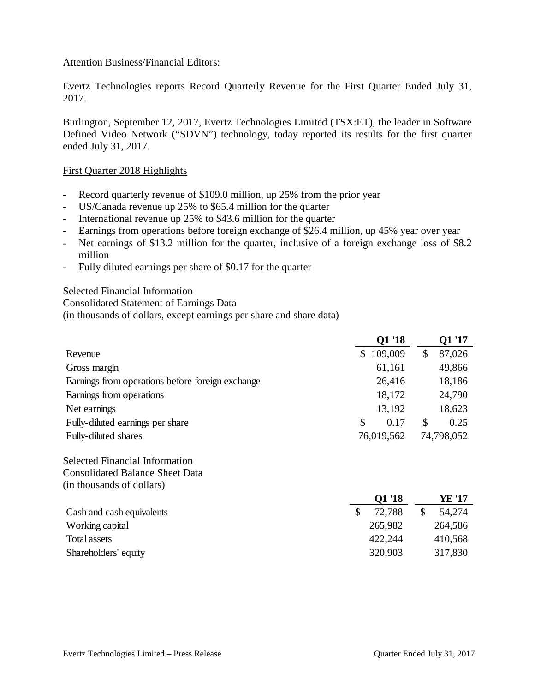## Attention Business/Financial Editors:

Evertz Technologies reports Record Quarterly Revenue for the First Quarter Ended July 31, 2017.

Burlington, September 12, 2017, Evertz Technologies Limited (TSX:ET), the leader in Software Defined Video Network ("SDVN") technology, today reported its results for the first quarter ended July 31, 2017.

#### First Quarter 2018 Highlights

- Record quarterly revenue of \$109.0 million, up 25% from the prior year
- US/Canada revenue up 25% to \$65.4 million for the quarter
- International revenue up 25% to \$43.6 million for the quarter
- Earnings from operations before foreign exchange of \$26.4 million, up 45% year over year
- Net earnings of \$13.2 million for the quarter, inclusive of a foreign exchange loss of \$8.2 million
- Fully diluted earnings per share of \$0.17 for the quarter

Selected Financial Information

Consolidated Statement of Earnings Data

(in thousands of dollars, except earnings per share and share data)

|                                                  | Q1 '18        |    | Q1 '17     |
|--------------------------------------------------|---------------|----|------------|
| Revenue                                          | 109,009<br>\$ | \$ | 87,026     |
| Gross margin                                     | 61,161        |    | 49,866     |
| Earnings from operations before foreign exchange | 26,416        |    | 18,186     |
| Earnings from operations                         | 18,172        |    | 24,790     |
| Net earnings                                     | 13,192        |    | 18,623     |
| Fully-diluted earnings per share                 | \$<br>0.17    | S  | 0.25       |
| Fully-diluted shares                             | 76,019,562    |    | 74,798,052 |

Selected Financial Information Consolidated Balance Sheet Data (in thousands of dollars)

|                           | Q1 '18  | YE '17  |
|---------------------------|---------|---------|
| Cash and cash equivalents | 72,788  | 54,274  |
| Working capital           | 265,982 | 264,586 |
| Total assets              | 422,244 | 410,568 |
| Shareholders' equity      | 320,903 | 317,830 |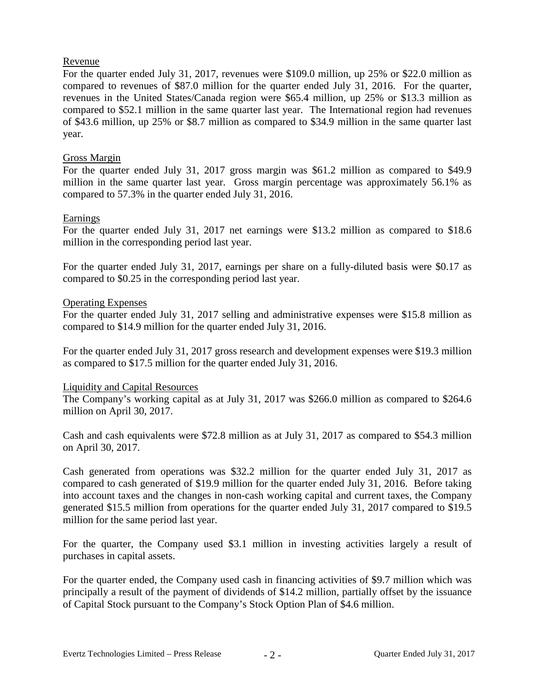## Revenue

For the quarter ended July 31, 2017, revenues were \$109.0 million, up 25% or \$22.0 million as compared to revenues of \$87.0 million for the quarter ended July 31, 2016. For the quarter, revenues in the United States/Canada region were \$65.4 million, up 25% or \$13.3 million as compared to \$52.1 million in the same quarter last year. The International region had revenues of \$43.6 million, up 25% or \$8.7 million as compared to \$34.9 million in the same quarter last year.

## Gross Margin

For the quarter ended July 31, 2017 gross margin was \$61.2 million as compared to \$49.9 million in the same quarter last year. Gross margin percentage was approximately 56.1% as compared to 57.3% in the quarter ended July 31, 2016.

## Earnings

For the quarter ended July 31, 2017 net earnings were \$13.2 million as compared to \$18.6 million in the corresponding period last year.

For the quarter ended July 31, 2017, earnings per share on a fully-diluted basis were \$0.17 as compared to \$0.25 in the corresponding period last year.

## Operating Expenses

For the quarter ended July 31, 2017 selling and administrative expenses were \$15.8 million as compared to \$14.9 million for the quarter ended July 31, 2016.

For the quarter ended July 31, 2017 gross research and development expenses were \$19.3 million as compared to \$17.5 million for the quarter ended July 31, 2016.

#### Liquidity and Capital Resources

The Company's working capital as at July 31, 2017 was \$266.0 million as compared to \$264.6 million on April 30, 2017.

Cash and cash equivalents were \$72.8 million as at July 31, 2017 as compared to \$54.3 million on April 30, 2017.

Cash generated from operations was \$32.2 million for the quarter ended July 31, 2017 as compared to cash generated of \$19.9 million for the quarter ended July 31, 2016. Before taking into account taxes and the changes in non-cash working capital and current taxes, the Company generated \$15.5 million from operations for the quarter ended July 31, 2017 compared to \$19.5 million for the same period last year.

For the quarter, the Company used \$3.1 million in investing activities largely a result of purchases in capital assets.

For the quarter ended, the Company used cash in financing activities of \$9.7 million which was principally a result of the payment of dividends of \$14.2 million, partially offset by the issuance of Capital Stock pursuant to the Company's Stock Option Plan of \$4.6 million.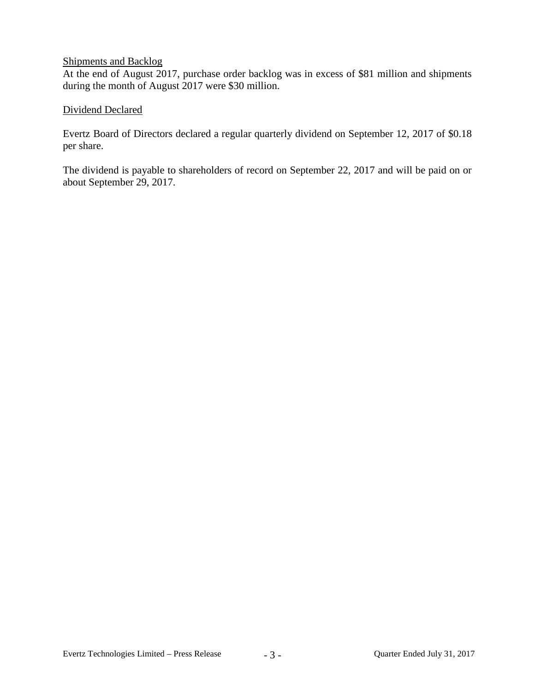## Shipments and Backlog

At the end of August 2017, purchase order backlog was in excess of \$81 million and shipments during the month of August 2017 were \$30 million.

## Dividend Declared

Evertz Board of Directors declared a regular quarterly dividend on September 12, 2017 of \$0.18 per share.

The dividend is payable to shareholders of record on September 22, 2017 and will be paid on or about September 29, 2017.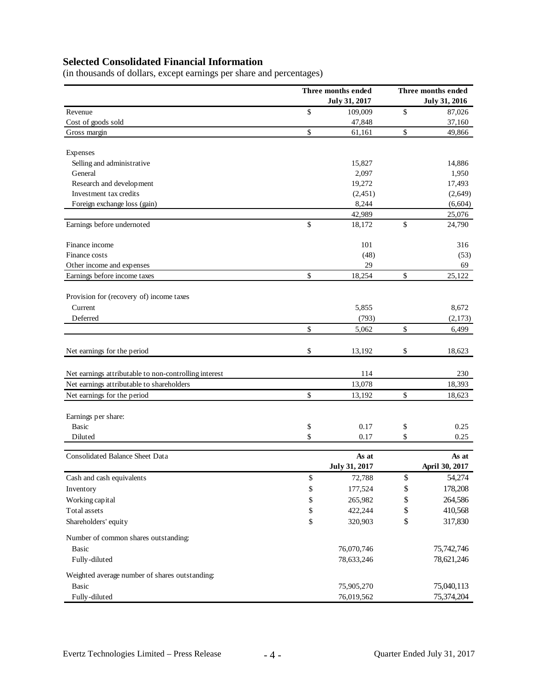# **Selected Consolidated Financial Information**

(in thousands of dollars, except earnings per share and percentages)

|                                                       | Three months ended<br>July 31, 2017 |               | Three months ended<br><b>July 31, 2016</b> |                |
|-------------------------------------------------------|-------------------------------------|---------------|--------------------------------------------|----------------|
| Revenue                                               | $\mathbb{S}$                        | 109,009       | \$                                         | 87,026         |
| Cost of goods sold                                    |                                     | 47,848        |                                            | 37,160         |
| Gross margin                                          | \$                                  | 61,161        | \$                                         | 49,866         |
| Expenses                                              |                                     |               |                                            |                |
| Selling and administrative                            |                                     | 15,827        |                                            | 14,886         |
| General                                               |                                     | 2,097         |                                            | 1,950          |
| Research and development                              |                                     | 19,272        |                                            | 17,493         |
| Investment tax credits                                |                                     | (2,451)       |                                            | (2,649)        |
| Foreign exchange loss (gain)                          |                                     | 8,244         |                                            | (6, 604)       |
|                                                       |                                     | 42,989        |                                            | 25,076         |
| Earnings before undernoted                            | \$                                  | 18,172        | \$                                         | 24,790         |
| Finance income                                        |                                     | 101           |                                            | 316            |
| Finance costs                                         |                                     | (48)          |                                            | (53)           |
| Other income and expenses                             |                                     | 29            |                                            | 69             |
| Earnings before income taxes                          | \$                                  | 18,254        | \$                                         | 25,122         |
| Provision for (recovery of) income taxes              |                                     |               |                                            |                |
| Current                                               |                                     | 5,855         |                                            | 8,672          |
| Deferred                                              |                                     | (793)         |                                            | (2,173)        |
|                                                       | \$                                  | 5,062         | \$                                         | 6,499          |
| Net earnings for the period                           | \$                                  | 13,192        | \$                                         | 18,623         |
| Net earnings attributable to non-controlling interest |                                     | 114           |                                            | 230            |
| Net earnings attributable to shareholders             |                                     | 13,078        |                                            | 18,393         |
| Net earnings for the period                           | \$                                  | 13,192        | \$                                         | 18,623         |
| Earnings per share:                                   |                                     |               |                                            |                |
| <b>Basic</b>                                          | \$                                  | 0.17          | \$                                         | 0.25           |
| Diluted                                               | \$                                  | 0.17          | \$                                         | 0.25           |
| <b>Consolidated Balance Sheet Data</b>                |                                     | As at         |                                            | As at          |
|                                                       |                                     | July 31, 2017 |                                            | April 30, 2017 |
| Cash and cash equivalents                             | \$                                  | 72,788        | \$                                         | 54,274         |
| Inventory                                             | \$                                  | 177,524       | \$                                         | 178,208        |
| Working capital                                       | \$                                  | 265,982       | \$                                         | 264,586        |
| Total assets                                          | \$                                  | 422,244       | \$                                         | 410,568        |
| Shareholders' equity                                  | \$                                  | 320,903       | \$                                         | 317,830        |
| Number of common shares outstanding:                  |                                     |               |                                            |                |
| Basic                                                 |                                     | 76,070,746    |                                            | 75,742,746     |
| Fully-diluted                                         |                                     | 78,633,246    |                                            | 78,621,246     |
| Weighted average number of shares outstanding:        |                                     |               |                                            |                |
| Basic                                                 |                                     | 75,905,270    |                                            | 75,040,113     |
| Fully-diluted                                         |                                     | 76,019,562    |                                            | 75,374,204     |